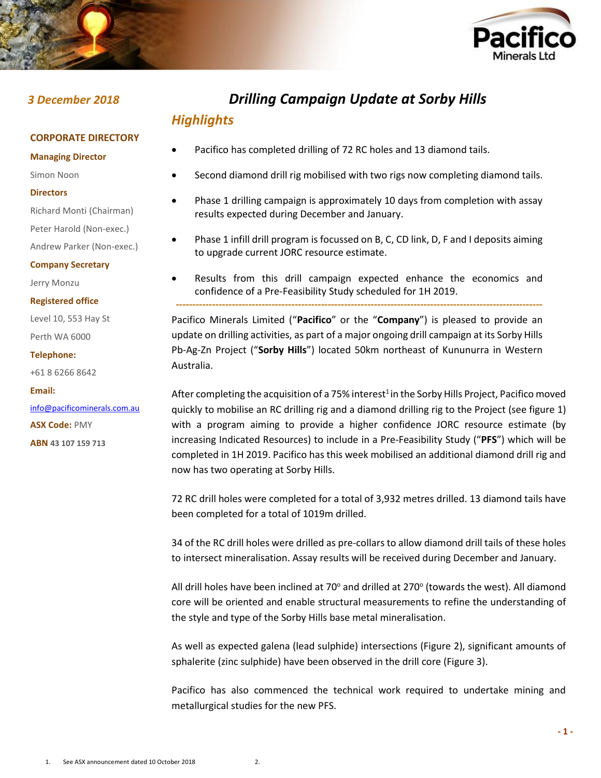



## *3 December 2018 Drilling Campaign Update at Sorby Hills*

# *Highlights*

- Pacifico has completed drilling of 72 RC holes and 13 diamond tails.
	- Second diamond drill rig mobilised with two rigs now completing diamond tails.
- Phase 1 drilling campaign is approximately 10 days from completion with assay results expected during December and January.
- Phase 1 infill drill program is focussed on B, C, CD link, D, F and I deposits aiming to upgrade current JORC resource estimate.
- Results from this drill campaign expected enhance the economics and confidence of a Pre-Feasibility Study scheduled for 1H 2019.

*---------------------------------------------------------------------------------------------------------------*

Pacifico Minerals Limited ("**Pacifico**" or the "**Company**") is pleased to provide an update on drilling activities, as part of a major ongoing drill campaign at its Sorby Hills Pb-Ag-Zn Project ("**Sorby Hills**") located 50km northeast of Kununurra in Western Australia.

After completing the acquisition of a 75% interest<sup>1</sup> in the Sorby Hills Project, Pacifico moved quickly to mobilise an RC drilling rig and a diamond drilling rig to the Project (see figure 1) with a program aiming to provide a higher confidence JORC resource estimate (by increasing Indicated Resources) to include in a Pre-Feasibility Study ("**PFS**") which will be completed in 1H 2019. Pacifico has this week mobilised an additional diamond drill rig and now has two operating at Sorby Hills.

72 RC drill holes were completed for a total of 3,932 metres drilled. 13 diamond tails have been completed for a total of 1019m drilled.

34 of the RC drill holes were drilled as pre-collars to allow diamond drill tails of these holes to intersect mineralisation. Assay results will be received during December and January.

All drill holes have been inclined at 70 $^{\circ}$  and drilled at 270 $^{\circ}$  (towards the west). All diamond core will be oriented and enable structural measurements to refine the understanding of the style and type of the Sorby Hills base metal mineralisation.

As well as expected galena (lead sulphide) intersections (Figure 2), significant amounts of sphalerite (zinc sulphide) have been observed in the drill core (Figure 3).

Pacifico has also commenced the technical work required to undertake mining and metallurgical studies for the new PFS.

### **CORPORATE DIRECTORY**

**Managing Director**

Simon Noon

#### **Directors**

Richard Monti (Chairman)

Peter Harold (Non-exec.)

Andrew Parker (Non-exec.)

#### **Company Secretary**

Jerry Monzu

#### **Registered office**

Level 10, 553 Hay St Perth WA 6000

#### **Telephone:**

+61 8 6266 8642

#### **Email:**

[info@pacificominerals.com.au](mailto:info@pacificominerals.com.au) **ASX Code:** PMY **ABN 43 107 159 713**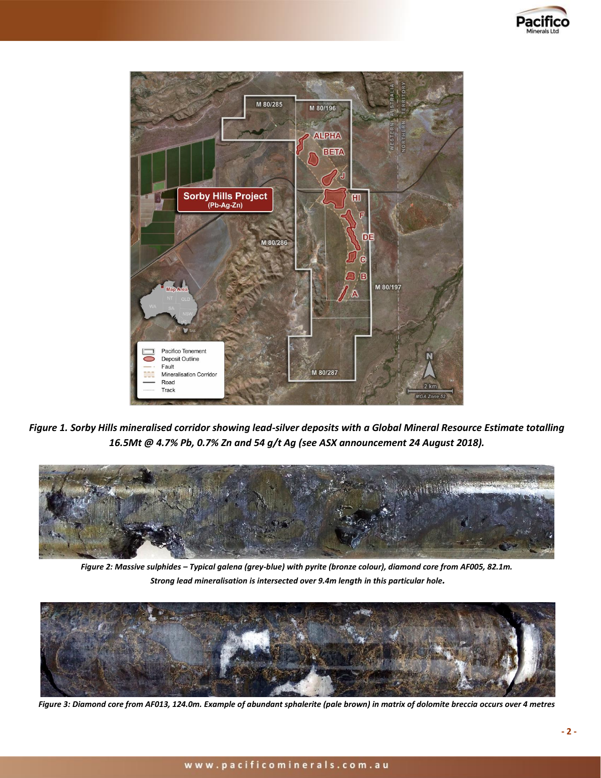



*Figure 1. Sorby Hills mineralised corridor showing lead-silver deposits with a Global Mineral Resource Estimate totalling 16.5Mt @ 4.7% Pb, 0.7% Zn and 54 g/t Ag (see ASX announcement 24 August 2018).*



*Figure 2: Massive sulphides – Typical galena (grey-blue) with pyrite (bronze colour), diamond core from AF005, 82.1m. Strong lead mineralisation is intersected over 9.4m length in this particular hole.*



*Figure 3: Diamond core from AF013, 124.0m. Example of abundant sphalerite (pale brown) in matrix of dolomite breccia occurs over 4 metres*